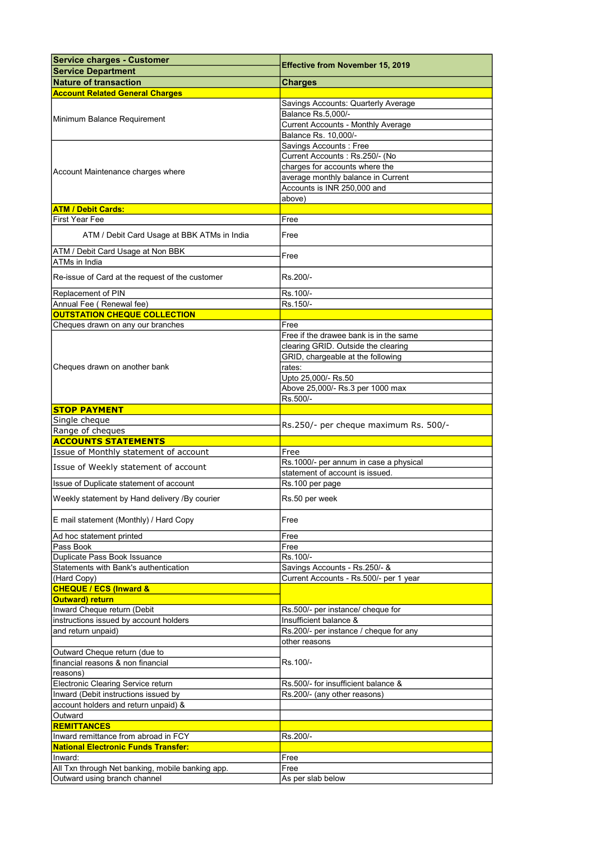| <b>Service charges - Customer</b>                | <b>Effective from November 15, 2019</b>   |
|--------------------------------------------------|-------------------------------------------|
| <b>Service Department</b>                        |                                           |
| <b>Nature of transaction</b>                     | <b>Charges</b>                            |
| <b>Account Related General Charges</b>           |                                           |
|                                                  | Savings Accounts: Quarterly Average       |
| Minimum Balance Requirement                      | Balance Rs.5,000/-                        |
|                                                  | <b>Current Accounts - Monthly Average</b> |
|                                                  | Balance Rs. 10,000/-                      |
|                                                  | Savings Accounts: Free                    |
|                                                  | Current Accounts: Rs.250/- (No            |
| Account Maintenance charges where                | charges for accounts where the            |
|                                                  | average monthly balance in Current        |
|                                                  | Accounts is INR 250,000 and               |
|                                                  | above)                                    |
| <b>ATM / Debit Cards:</b>                        |                                           |
| <b>First Year Fee</b>                            | Free                                      |
| ATM / Debit Card Usage at BBK ATMs in India      | Free                                      |
| ATM / Debit Card Usage at Non BBK                | Free                                      |
| ATMs in India                                    |                                           |
| Re-issue of Card at the request of the customer  | Rs.200/-                                  |
| Replacement of PIN                               | Rs.100/-                                  |
| Annual Fee (Renewal fee)                         | Rs.150/-                                  |
| <b>OUTSTATION CHEQUE COLLECTION</b>              |                                           |
| Cheques drawn on any our branches                | Free                                      |
|                                                  | Free if the drawee bank is in the same    |
|                                                  | clearing GRID. Outside the clearing       |
|                                                  | GRID, chargeable at the following         |
| Cheques drawn on another bank                    | rates:                                    |
|                                                  | Upto 25,000/- Rs.50                       |
|                                                  | Above 25,000/- Rs.3 per 1000 max          |
|                                                  | Rs.500/-                                  |
| <b>STOP PAYMENT</b>                              |                                           |
| Single cheque                                    | Rs.250/- per cheque maximum Rs. 500/-     |
| Range of cheques                                 |                                           |
| <b>ACCOUNTS STATEMENTS</b>                       |                                           |
| Issue of Monthly statement of account            | Free                                      |
| Issue of Weekly statement of account             | Rs.1000/- per annum in case a physical    |
|                                                  | statement of account is issued.           |
| Issue of Duplicate statement of account          | Rs.100 per page                           |
| Weekly statement by Hand delivery /By courier    | Rs.50 per week                            |
| E mail statement (Monthly) / Hard Copy           | Free                                      |
| Ad hoc statement printed                         | Free                                      |
| Pass Book                                        | Free                                      |
| Duplicate Pass Book Issuance                     | Rs.100/-                                  |
| Statements with Bank's authentication            | Savings Accounts - Rs.250/- &             |
| (Hard Copy)                                      | Current Accounts - Rs.500/- per 1 year    |
| <b>CHEQUE / ECS (Inward &amp;</b>                |                                           |
| Outward) return                                  |                                           |
| Inward Cheque return (Debit                      | Rs.500/- per instance/ cheque for         |
| instructions issued by account holders           | Insufficient balance &                    |
| and return unpaid)                               | Rs.200/- per instance / cheque for any    |
|                                                  | other reasons                             |
| Outward Cheque return (due to                    |                                           |
| financial reasons & non financial                | Rs.100/-                                  |
| reasons)                                         |                                           |
| Electronic Clearing Service return               | Rs.500/- for insufficient balance &       |
| Inward (Debit instructions issued by             | Rs.200/- (any other reasons)              |
| account holders and return unpaid) &             |                                           |
| Outward                                          |                                           |
| <b>REMITTANCES</b>                               |                                           |
| Inward remittance from abroad in FCY             | Rs.200/-                                  |
| <b>National Electronic Funds Transfer:</b>       |                                           |
| Inward:                                          | Free                                      |
| All Txn through Net banking, mobile banking app. | Free                                      |
| Outward using branch channel                     | As per slab below                         |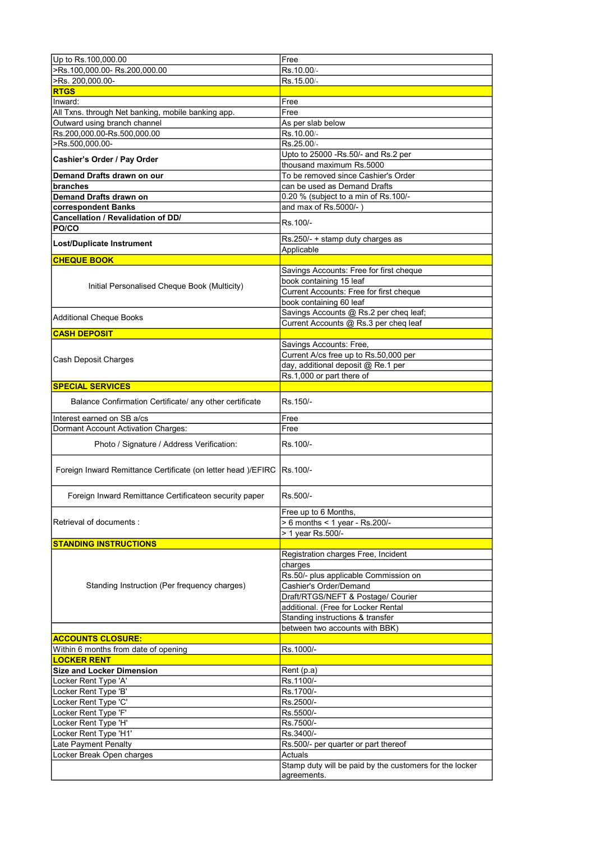| >Rs.100,000.00-Rs.200,000.00<br>Rs.10.00/-<br>>Rs. 200,000.00-<br>Rs.15.00/-<br><b>RTGS</b><br>Inward:<br>Free<br>All Txns. through Net banking, mobile banking app.<br>Free<br>Outward using branch channel<br>As per slab below<br>Rs.200,000.00-Rs.500,000.00<br>Rs.10.00/-<br>>Rs.500,000.00-<br>Rs.25.00/-<br>Upto to 25000 -Rs.50/- and Rs.2 per<br>Cashier's Order / Pay Order<br>thousand maximum Rs.5000<br>Demand Drafts drawn on our<br>To be removed since Cashier's Order<br>can be used as Demand Drafts<br>branches<br><b>Demand Drafts drawn on</b><br>0.20 % (subject to a min of Rs.100/-<br>and max of Rs.5000/-)<br>correspondent Banks<br>Cancellation / Revalidation of DD/<br>Rs.100/-<br>PO/CO<br>Rs.250/- + stamp duty charges as<br>Lost/Duplicate Instrument<br>Applicable<br><b>CHEQUE BOOK</b><br>Savings Accounts: Free for first cheque<br>book containing 15 leaf<br>Initial Personalised Cheque Book (Multicity)<br>Current Accounts: Free for first cheque<br>book containing 60 leaf<br>Savings Accounts @ Rs.2 per cheq leaf;<br><b>Additional Cheque Books</b><br>Current Accounts @ Rs.3 per cheq leaf<br><b>CASH DEPOSIT</b><br>Savings Accounts: Free,<br>Current A/cs free up to Rs.50,000 per<br>Cash Deposit Charges<br>day, additional deposit @ Re.1 per<br>Rs.1,000 or part there of<br><b>SPECIAL SERVICES</b><br>Balance Confirmation Certificate/ any other certificate<br>Rs.150/-<br>Interest earned on SB a/cs<br>Free<br>Dormant Account Activation Charges:<br>Free<br>Photo / Signature / Address Verification:<br>Rs.100/-<br>Foreign Inward Remittance Certificate (on letter head )/EFIRC   Rs. 100/-<br>Rs.500/-<br>Foreign Inward Remittance Certificateon security paper<br>Free up to 6 Months,<br>Retrieval of documents :<br>> 6 months < 1 year - Rs.200/-<br>> 1 year Rs.500/-<br><b>STANDING INSTRUCTIONS</b><br>Registration charges Free, Incident<br>charges<br>Rs.50/- plus applicable Commission on<br>Standing Instruction (Per frequency charges)<br>Cashier's Order/Demand<br>Draft/RTGS/NEFT & Postage/ Courier<br>additional. (Free for Locker Rental<br>Standing instructions & transfer<br>between two accounts with BBK)<br><b>ACCOUNTS CLOSURE:</b><br>Rs.1000/-<br>Within 6 months from date of opening<br><b>LOCKER RENT</b><br><b>Size and Locker Dimension</b><br>Rent (p.a)<br>Locker Rent Type 'A'<br>Rs.1100/-<br>Locker Rent Type 'B'<br>Rs.1700/-<br>Locker Rent Type 'C'<br>Rs.2500/-<br>Locker Rent Type 'F'<br>Rs.5500/-<br>Locker Rent Type 'H'<br>Rs.7500/-<br>Locker Rent Type 'H1'<br>Rs.3400/-<br>Late Payment Penalty<br>Rs.500/- per quarter or part thereof<br>Locker Break Open charges<br>Actuals<br>Stamp duty will be paid by the customers for the locker<br>agreements. | Up to Rs.100,000.00 | Free |
|------------------------------------------------------------------------------------------------------------------------------------------------------------------------------------------------------------------------------------------------------------------------------------------------------------------------------------------------------------------------------------------------------------------------------------------------------------------------------------------------------------------------------------------------------------------------------------------------------------------------------------------------------------------------------------------------------------------------------------------------------------------------------------------------------------------------------------------------------------------------------------------------------------------------------------------------------------------------------------------------------------------------------------------------------------------------------------------------------------------------------------------------------------------------------------------------------------------------------------------------------------------------------------------------------------------------------------------------------------------------------------------------------------------------------------------------------------------------------------------------------------------------------------------------------------------------------------------------------------------------------------------------------------------------------------------------------------------------------------------------------------------------------------------------------------------------------------------------------------------------------------------------------------------------------------------------------------------------------------------------------------------------------------------------------------------------------------------------------------------------------------------------------------------------------------------------------------------------------------------------------------------------------------------------------------------------------------------------------------------------------------------------------------------------------------------------------------------------------------------------------------------------------------------------------------------------------------------------------------------------------------------------------------------------------------------------------------------------------------------------------------------------------------|---------------------|------|
|                                                                                                                                                                                                                                                                                                                                                                                                                                                                                                                                                                                                                                                                                                                                                                                                                                                                                                                                                                                                                                                                                                                                                                                                                                                                                                                                                                                                                                                                                                                                                                                                                                                                                                                                                                                                                                                                                                                                                                                                                                                                                                                                                                                                                                                                                                                                                                                                                                                                                                                                                                                                                                                                                                                                                                                    |                     |      |
|                                                                                                                                                                                                                                                                                                                                                                                                                                                                                                                                                                                                                                                                                                                                                                                                                                                                                                                                                                                                                                                                                                                                                                                                                                                                                                                                                                                                                                                                                                                                                                                                                                                                                                                                                                                                                                                                                                                                                                                                                                                                                                                                                                                                                                                                                                                                                                                                                                                                                                                                                                                                                                                                                                                                                                                    |                     |      |
|                                                                                                                                                                                                                                                                                                                                                                                                                                                                                                                                                                                                                                                                                                                                                                                                                                                                                                                                                                                                                                                                                                                                                                                                                                                                                                                                                                                                                                                                                                                                                                                                                                                                                                                                                                                                                                                                                                                                                                                                                                                                                                                                                                                                                                                                                                                                                                                                                                                                                                                                                                                                                                                                                                                                                                                    |                     |      |
|                                                                                                                                                                                                                                                                                                                                                                                                                                                                                                                                                                                                                                                                                                                                                                                                                                                                                                                                                                                                                                                                                                                                                                                                                                                                                                                                                                                                                                                                                                                                                                                                                                                                                                                                                                                                                                                                                                                                                                                                                                                                                                                                                                                                                                                                                                                                                                                                                                                                                                                                                                                                                                                                                                                                                                                    |                     |      |
|                                                                                                                                                                                                                                                                                                                                                                                                                                                                                                                                                                                                                                                                                                                                                                                                                                                                                                                                                                                                                                                                                                                                                                                                                                                                                                                                                                                                                                                                                                                                                                                                                                                                                                                                                                                                                                                                                                                                                                                                                                                                                                                                                                                                                                                                                                                                                                                                                                                                                                                                                                                                                                                                                                                                                                                    |                     |      |
|                                                                                                                                                                                                                                                                                                                                                                                                                                                                                                                                                                                                                                                                                                                                                                                                                                                                                                                                                                                                                                                                                                                                                                                                                                                                                                                                                                                                                                                                                                                                                                                                                                                                                                                                                                                                                                                                                                                                                                                                                                                                                                                                                                                                                                                                                                                                                                                                                                                                                                                                                                                                                                                                                                                                                                                    |                     |      |
|                                                                                                                                                                                                                                                                                                                                                                                                                                                                                                                                                                                                                                                                                                                                                                                                                                                                                                                                                                                                                                                                                                                                                                                                                                                                                                                                                                                                                                                                                                                                                                                                                                                                                                                                                                                                                                                                                                                                                                                                                                                                                                                                                                                                                                                                                                                                                                                                                                                                                                                                                                                                                                                                                                                                                                                    |                     |      |
|                                                                                                                                                                                                                                                                                                                                                                                                                                                                                                                                                                                                                                                                                                                                                                                                                                                                                                                                                                                                                                                                                                                                                                                                                                                                                                                                                                                                                                                                                                                                                                                                                                                                                                                                                                                                                                                                                                                                                                                                                                                                                                                                                                                                                                                                                                                                                                                                                                                                                                                                                                                                                                                                                                                                                                                    |                     |      |
|                                                                                                                                                                                                                                                                                                                                                                                                                                                                                                                                                                                                                                                                                                                                                                                                                                                                                                                                                                                                                                                                                                                                                                                                                                                                                                                                                                                                                                                                                                                                                                                                                                                                                                                                                                                                                                                                                                                                                                                                                                                                                                                                                                                                                                                                                                                                                                                                                                                                                                                                                                                                                                                                                                                                                                                    |                     |      |
|                                                                                                                                                                                                                                                                                                                                                                                                                                                                                                                                                                                                                                                                                                                                                                                                                                                                                                                                                                                                                                                                                                                                                                                                                                                                                                                                                                                                                                                                                                                                                                                                                                                                                                                                                                                                                                                                                                                                                                                                                                                                                                                                                                                                                                                                                                                                                                                                                                                                                                                                                                                                                                                                                                                                                                                    |                     |      |
|                                                                                                                                                                                                                                                                                                                                                                                                                                                                                                                                                                                                                                                                                                                                                                                                                                                                                                                                                                                                                                                                                                                                                                                                                                                                                                                                                                                                                                                                                                                                                                                                                                                                                                                                                                                                                                                                                                                                                                                                                                                                                                                                                                                                                                                                                                                                                                                                                                                                                                                                                                                                                                                                                                                                                                                    |                     |      |
|                                                                                                                                                                                                                                                                                                                                                                                                                                                                                                                                                                                                                                                                                                                                                                                                                                                                                                                                                                                                                                                                                                                                                                                                                                                                                                                                                                                                                                                                                                                                                                                                                                                                                                                                                                                                                                                                                                                                                                                                                                                                                                                                                                                                                                                                                                                                                                                                                                                                                                                                                                                                                                                                                                                                                                                    |                     |      |
|                                                                                                                                                                                                                                                                                                                                                                                                                                                                                                                                                                                                                                                                                                                                                                                                                                                                                                                                                                                                                                                                                                                                                                                                                                                                                                                                                                                                                                                                                                                                                                                                                                                                                                                                                                                                                                                                                                                                                                                                                                                                                                                                                                                                                                                                                                                                                                                                                                                                                                                                                                                                                                                                                                                                                                                    |                     |      |
|                                                                                                                                                                                                                                                                                                                                                                                                                                                                                                                                                                                                                                                                                                                                                                                                                                                                                                                                                                                                                                                                                                                                                                                                                                                                                                                                                                                                                                                                                                                                                                                                                                                                                                                                                                                                                                                                                                                                                                                                                                                                                                                                                                                                                                                                                                                                                                                                                                                                                                                                                                                                                                                                                                                                                                                    |                     |      |
|                                                                                                                                                                                                                                                                                                                                                                                                                                                                                                                                                                                                                                                                                                                                                                                                                                                                                                                                                                                                                                                                                                                                                                                                                                                                                                                                                                                                                                                                                                                                                                                                                                                                                                                                                                                                                                                                                                                                                                                                                                                                                                                                                                                                                                                                                                                                                                                                                                                                                                                                                                                                                                                                                                                                                                                    |                     |      |
|                                                                                                                                                                                                                                                                                                                                                                                                                                                                                                                                                                                                                                                                                                                                                                                                                                                                                                                                                                                                                                                                                                                                                                                                                                                                                                                                                                                                                                                                                                                                                                                                                                                                                                                                                                                                                                                                                                                                                                                                                                                                                                                                                                                                                                                                                                                                                                                                                                                                                                                                                                                                                                                                                                                                                                                    |                     |      |
|                                                                                                                                                                                                                                                                                                                                                                                                                                                                                                                                                                                                                                                                                                                                                                                                                                                                                                                                                                                                                                                                                                                                                                                                                                                                                                                                                                                                                                                                                                                                                                                                                                                                                                                                                                                                                                                                                                                                                                                                                                                                                                                                                                                                                                                                                                                                                                                                                                                                                                                                                                                                                                                                                                                                                                                    |                     |      |
|                                                                                                                                                                                                                                                                                                                                                                                                                                                                                                                                                                                                                                                                                                                                                                                                                                                                                                                                                                                                                                                                                                                                                                                                                                                                                                                                                                                                                                                                                                                                                                                                                                                                                                                                                                                                                                                                                                                                                                                                                                                                                                                                                                                                                                                                                                                                                                                                                                                                                                                                                                                                                                                                                                                                                                                    |                     |      |
|                                                                                                                                                                                                                                                                                                                                                                                                                                                                                                                                                                                                                                                                                                                                                                                                                                                                                                                                                                                                                                                                                                                                                                                                                                                                                                                                                                                                                                                                                                                                                                                                                                                                                                                                                                                                                                                                                                                                                                                                                                                                                                                                                                                                                                                                                                                                                                                                                                                                                                                                                                                                                                                                                                                                                                                    |                     |      |
|                                                                                                                                                                                                                                                                                                                                                                                                                                                                                                                                                                                                                                                                                                                                                                                                                                                                                                                                                                                                                                                                                                                                                                                                                                                                                                                                                                                                                                                                                                                                                                                                                                                                                                                                                                                                                                                                                                                                                                                                                                                                                                                                                                                                                                                                                                                                                                                                                                                                                                                                                                                                                                                                                                                                                                                    |                     |      |
|                                                                                                                                                                                                                                                                                                                                                                                                                                                                                                                                                                                                                                                                                                                                                                                                                                                                                                                                                                                                                                                                                                                                                                                                                                                                                                                                                                                                                                                                                                                                                                                                                                                                                                                                                                                                                                                                                                                                                                                                                                                                                                                                                                                                                                                                                                                                                                                                                                                                                                                                                                                                                                                                                                                                                                                    |                     |      |
|                                                                                                                                                                                                                                                                                                                                                                                                                                                                                                                                                                                                                                                                                                                                                                                                                                                                                                                                                                                                                                                                                                                                                                                                                                                                                                                                                                                                                                                                                                                                                                                                                                                                                                                                                                                                                                                                                                                                                                                                                                                                                                                                                                                                                                                                                                                                                                                                                                                                                                                                                                                                                                                                                                                                                                                    |                     |      |
|                                                                                                                                                                                                                                                                                                                                                                                                                                                                                                                                                                                                                                                                                                                                                                                                                                                                                                                                                                                                                                                                                                                                                                                                                                                                                                                                                                                                                                                                                                                                                                                                                                                                                                                                                                                                                                                                                                                                                                                                                                                                                                                                                                                                                                                                                                                                                                                                                                                                                                                                                                                                                                                                                                                                                                                    |                     |      |
|                                                                                                                                                                                                                                                                                                                                                                                                                                                                                                                                                                                                                                                                                                                                                                                                                                                                                                                                                                                                                                                                                                                                                                                                                                                                                                                                                                                                                                                                                                                                                                                                                                                                                                                                                                                                                                                                                                                                                                                                                                                                                                                                                                                                                                                                                                                                                                                                                                                                                                                                                                                                                                                                                                                                                                                    |                     |      |
|                                                                                                                                                                                                                                                                                                                                                                                                                                                                                                                                                                                                                                                                                                                                                                                                                                                                                                                                                                                                                                                                                                                                                                                                                                                                                                                                                                                                                                                                                                                                                                                                                                                                                                                                                                                                                                                                                                                                                                                                                                                                                                                                                                                                                                                                                                                                                                                                                                                                                                                                                                                                                                                                                                                                                                                    |                     |      |
|                                                                                                                                                                                                                                                                                                                                                                                                                                                                                                                                                                                                                                                                                                                                                                                                                                                                                                                                                                                                                                                                                                                                                                                                                                                                                                                                                                                                                                                                                                                                                                                                                                                                                                                                                                                                                                                                                                                                                                                                                                                                                                                                                                                                                                                                                                                                                                                                                                                                                                                                                                                                                                                                                                                                                                                    |                     |      |
|                                                                                                                                                                                                                                                                                                                                                                                                                                                                                                                                                                                                                                                                                                                                                                                                                                                                                                                                                                                                                                                                                                                                                                                                                                                                                                                                                                                                                                                                                                                                                                                                                                                                                                                                                                                                                                                                                                                                                                                                                                                                                                                                                                                                                                                                                                                                                                                                                                                                                                                                                                                                                                                                                                                                                                                    |                     |      |
|                                                                                                                                                                                                                                                                                                                                                                                                                                                                                                                                                                                                                                                                                                                                                                                                                                                                                                                                                                                                                                                                                                                                                                                                                                                                                                                                                                                                                                                                                                                                                                                                                                                                                                                                                                                                                                                                                                                                                                                                                                                                                                                                                                                                                                                                                                                                                                                                                                                                                                                                                                                                                                                                                                                                                                                    |                     |      |
|                                                                                                                                                                                                                                                                                                                                                                                                                                                                                                                                                                                                                                                                                                                                                                                                                                                                                                                                                                                                                                                                                                                                                                                                                                                                                                                                                                                                                                                                                                                                                                                                                                                                                                                                                                                                                                                                                                                                                                                                                                                                                                                                                                                                                                                                                                                                                                                                                                                                                                                                                                                                                                                                                                                                                                                    |                     |      |
|                                                                                                                                                                                                                                                                                                                                                                                                                                                                                                                                                                                                                                                                                                                                                                                                                                                                                                                                                                                                                                                                                                                                                                                                                                                                                                                                                                                                                                                                                                                                                                                                                                                                                                                                                                                                                                                                                                                                                                                                                                                                                                                                                                                                                                                                                                                                                                                                                                                                                                                                                                                                                                                                                                                                                                                    |                     |      |
|                                                                                                                                                                                                                                                                                                                                                                                                                                                                                                                                                                                                                                                                                                                                                                                                                                                                                                                                                                                                                                                                                                                                                                                                                                                                                                                                                                                                                                                                                                                                                                                                                                                                                                                                                                                                                                                                                                                                                                                                                                                                                                                                                                                                                                                                                                                                                                                                                                                                                                                                                                                                                                                                                                                                                                                    |                     |      |
|                                                                                                                                                                                                                                                                                                                                                                                                                                                                                                                                                                                                                                                                                                                                                                                                                                                                                                                                                                                                                                                                                                                                                                                                                                                                                                                                                                                                                                                                                                                                                                                                                                                                                                                                                                                                                                                                                                                                                                                                                                                                                                                                                                                                                                                                                                                                                                                                                                                                                                                                                                                                                                                                                                                                                                                    |                     |      |
|                                                                                                                                                                                                                                                                                                                                                                                                                                                                                                                                                                                                                                                                                                                                                                                                                                                                                                                                                                                                                                                                                                                                                                                                                                                                                                                                                                                                                                                                                                                                                                                                                                                                                                                                                                                                                                                                                                                                                                                                                                                                                                                                                                                                                                                                                                                                                                                                                                                                                                                                                                                                                                                                                                                                                                                    |                     |      |
|                                                                                                                                                                                                                                                                                                                                                                                                                                                                                                                                                                                                                                                                                                                                                                                                                                                                                                                                                                                                                                                                                                                                                                                                                                                                                                                                                                                                                                                                                                                                                                                                                                                                                                                                                                                                                                                                                                                                                                                                                                                                                                                                                                                                                                                                                                                                                                                                                                                                                                                                                                                                                                                                                                                                                                                    |                     |      |
|                                                                                                                                                                                                                                                                                                                                                                                                                                                                                                                                                                                                                                                                                                                                                                                                                                                                                                                                                                                                                                                                                                                                                                                                                                                                                                                                                                                                                                                                                                                                                                                                                                                                                                                                                                                                                                                                                                                                                                                                                                                                                                                                                                                                                                                                                                                                                                                                                                                                                                                                                                                                                                                                                                                                                                                    |                     |      |
|                                                                                                                                                                                                                                                                                                                                                                                                                                                                                                                                                                                                                                                                                                                                                                                                                                                                                                                                                                                                                                                                                                                                                                                                                                                                                                                                                                                                                                                                                                                                                                                                                                                                                                                                                                                                                                                                                                                                                                                                                                                                                                                                                                                                                                                                                                                                                                                                                                                                                                                                                                                                                                                                                                                                                                                    |                     |      |
|                                                                                                                                                                                                                                                                                                                                                                                                                                                                                                                                                                                                                                                                                                                                                                                                                                                                                                                                                                                                                                                                                                                                                                                                                                                                                                                                                                                                                                                                                                                                                                                                                                                                                                                                                                                                                                                                                                                                                                                                                                                                                                                                                                                                                                                                                                                                                                                                                                                                                                                                                                                                                                                                                                                                                                                    |                     |      |
|                                                                                                                                                                                                                                                                                                                                                                                                                                                                                                                                                                                                                                                                                                                                                                                                                                                                                                                                                                                                                                                                                                                                                                                                                                                                                                                                                                                                                                                                                                                                                                                                                                                                                                                                                                                                                                                                                                                                                                                                                                                                                                                                                                                                                                                                                                                                                                                                                                                                                                                                                                                                                                                                                                                                                                                    |                     |      |
|                                                                                                                                                                                                                                                                                                                                                                                                                                                                                                                                                                                                                                                                                                                                                                                                                                                                                                                                                                                                                                                                                                                                                                                                                                                                                                                                                                                                                                                                                                                                                                                                                                                                                                                                                                                                                                                                                                                                                                                                                                                                                                                                                                                                                                                                                                                                                                                                                                                                                                                                                                                                                                                                                                                                                                                    |                     |      |
|                                                                                                                                                                                                                                                                                                                                                                                                                                                                                                                                                                                                                                                                                                                                                                                                                                                                                                                                                                                                                                                                                                                                                                                                                                                                                                                                                                                                                                                                                                                                                                                                                                                                                                                                                                                                                                                                                                                                                                                                                                                                                                                                                                                                                                                                                                                                                                                                                                                                                                                                                                                                                                                                                                                                                                                    |                     |      |
|                                                                                                                                                                                                                                                                                                                                                                                                                                                                                                                                                                                                                                                                                                                                                                                                                                                                                                                                                                                                                                                                                                                                                                                                                                                                                                                                                                                                                                                                                                                                                                                                                                                                                                                                                                                                                                                                                                                                                                                                                                                                                                                                                                                                                                                                                                                                                                                                                                                                                                                                                                                                                                                                                                                                                                                    |                     |      |
|                                                                                                                                                                                                                                                                                                                                                                                                                                                                                                                                                                                                                                                                                                                                                                                                                                                                                                                                                                                                                                                                                                                                                                                                                                                                                                                                                                                                                                                                                                                                                                                                                                                                                                                                                                                                                                                                                                                                                                                                                                                                                                                                                                                                                                                                                                                                                                                                                                                                                                                                                                                                                                                                                                                                                                                    |                     |      |
|                                                                                                                                                                                                                                                                                                                                                                                                                                                                                                                                                                                                                                                                                                                                                                                                                                                                                                                                                                                                                                                                                                                                                                                                                                                                                                                                                                                                                                                                                                                                                                                                                                                                                                                                                                                                                                                                                                                                                                                                                                                                                                                                                                                                                                                                                                                                                                                                                                                                                                                                                                                                                                                                                                                                                                                    |                     |      |
|                                                                                                                                                                                                                                                                                                                                                                                                                                                                                                                                                                                                                                                                                                                                                                                                                                                                                                                                                                                                                                                                                                                                                                                                                                                                                                                                                                                                                                                                                                                                                                                                                                                                                                                                                                                                                                                                                                                                                                                                                                                                                                                                                                                                                                                                                                                                                                                                                                                                                                                                                                                                                                                                                                                                                                                    |                     |      |
|                                                                                                                                                                                                                                                                                                                                                                                                                                                                                                                                                                                                                                                                                                                                                                                                                                                                                                                                                                                                                                                                                                                                                                                                                                                                                                                                                                                                                                                                                                                                                                                                                                                                                                                                                                                                                                                                                                                                                                                                                                                                                                                                                                                                                                                                                                                                                                                                                                                                                                                                                                                                                                                                                                                                                                                    |                     |      |
|                                                                                                                                                                                                                                                                                                                                                                                                                                                                                                                                                                                                                                                                                                                                                                                                                                                                                                                                                                                                                                                                                                                                                                                                                                                                                                                                                                                                                                                                                                                                                                                                                                                                                                                                                                                                                                                                                                                                                                                                                                                                                                                                                                                                                                                                                                                                                                                                                                                                                                                                                                                                                                                                                                                                                                                    |                     |      |
|                                                                                                                                                                                                                                                                                                                                                                                                                                                                                                                                                                                                                                                                                                                                                                                                                                                                                                                                                                                                                                                                                                                                                                                                                                                                                                                                                                                                                                                                                                                                                                                                                                                                                                                                                                                                                                                                                                                                                                                                                                                                                                                                                                                                                                                                                                                                                                                                                                                                                                                                                                                                                                                                                                                                                                                    |                     |      |
|                                                                                                                                                                                                                                                                                                                                                                                                                                                                                                                                                                                                                                                                                                                                                                                                                                                                                                                                                                                                                                                                                                                                                                                                                                                                                                                                                                                                                                                                                                                                                                                                                                                                                                                                                                                                                                                                                                                                                                                                                                                                                                                                                                                                                                                                                                                                                                                                                                                                                                                                                                                                                                                                                                                                                                                    |                     |      |
|                                                                                                                                                                                                                                                                                                                                                                                                                                                                                                                                                                                                                                                                                                                                                                                                                                                                                                                                                                                                                                                                                                                                                                                                                                                                                                                                                                                                                                                                                                                                                                                                                                                                                                                                                                                                                                                                                                                                                                                                                                                                                                                                                                                                                                                                                                                                                                                                                                                                                                                                                                                                                                                                                                                                                                                    |                     |      |
|                                                                                                                                                                                                                                                                                                                                                                                                                                                                                                                                                                                                                                                                                                                                                                                                                                                                                                                                                                                                                                                                                                                                                                                                                                                                                                                                                                                                                                                                                                                                                                                                                                                                                                                                                                                                                                                                                                                                                                                                                                                                                                                                                                                                                                                                                                                                                                                                                                                                                                                                                                                                                                                                                                                                                                                    |                     |      |
|                                                                                                                                                                                                                                                                                                                                                                                                                                                                                                                                                                                                                                                                                                                                                                                                                                                                                                                                                                                                                                                                                                                                                                                                                                                                                                                                                                                                                                                                                                                                                                                                                                                                                                                                                                                                                                                                                                                                                                                                                                                                                                                                                                                                                                                                                                                                                                                                                                                                                                                                                                                                                                                                                                                                                                                    |                     |      |
|                                                                                                                                                                                                                                                                                                                                                                                                                                                                                                                                                                                                                                                                                                                                                                                                                                                                                                                                                                                                                                                                                                                                                                                                                                                                                                                                                                                                                                                                                                                                                                                                                                                                                                                                                                                                                                                                                                                                                                                                                                                                                                                                                                                                                                                                                                                                                                                                                                                                                                                                                                                                                                                                                                                                                                                    |                     |      |
|                                                                                                                                                                                                                                                                                                                                                                                                                                                                                                                                                                                                                                                                                                                                                                                                                                                                                                                                                                                                                                                                                                                                                                                                                                                                                                                                                                                                                                                                                                                                                                                                                                                                                                                                                                                                                                                                                                                                                                                                                                                                                                                                                                                                                                                                                                                                                                                                                                                                                                                                                                                                                                                                                                                                                                                    |                     |      |
|                                                                                                                                                                                                                                                                                                                                                                                                                                                                                                                                                                                                                                                                                                                                                                                                                                                                                                                                                                                                                                                                                                                                                                                                                                                                                                                                                                                                                                                                                                                                                                                                                                                                                                                                                                                                                                                                                                                                                                                                                                                                                                                                                                                                                                                                                                                                                                                                                                                                                                                                                                                                                                                                                                                                                                                    |                     |      |
|                                                                                                                                                                                                                                                                                                                                                                                                                                                                                                                                                                                                                                                                                                                                                                                                                                                                                                                                                                                                                                                                                                                                                                                                                                                                                                                                                                                                                                                                                                                                                                                                                                                                                                                                                                                                                                                                                                                                                                                                                                                                                                                                                                                                                                                                                                                                                                                                                                                                                                                                                                                                                                                                                                                                                                                    |                     |      |
|                                                                                                                                                                                                                                                                                                                                                                                                                                                                                                                                                                                                                                                                                                                                                                                                                                                                                                                                                                                                                                                                                                                                                                                                                                                                                                                                                                                                                                                                                                                                                                                                                                                                                                                                                                                                                                                                                                                                                                                                                                                                                                                                                                                                                                                                                                                                                                                                                                                                                                                                                                                                                                                                                                                                                                                    |                     |      |
|                                                                                                                                                                                                                                                                                                                                                                                                                                                                                                                                                                                                                                                                                                                                                                                                                                                                                                                                                                                                                                                                                                                                                                                                                                                                                                                                                                                                                                                                                                                                                                                                                                                                                                                                                                                                                                                                                                                                                                                                                                                                                                                                                                                                                                                                                                                                                                                                                                                                                                                                                                                                                                                                                                                                                                                    |                     |      |
|                                                                                                                                                                                                                                                                                                                                                                                                                                                                                                                                                                                                                                                                                                                                                                                                                                                                                                                                                                                                                                                                                                                                                                                                                                                                                                                                                                                                                                                                                                                                                                                                                                                                                                                                                                                                                                                                                                                                                                                                                                                                                                                                                                                                                                                                                                                                                                                                                                                                                                                                                                                                                                                                                                                                                                                    |                     |      |
|                                                                                                                                                                                                                                                                                                                                                                                                                                                                                                                                                                                                                                                                                                                                                                                                                                                                                                                                                                                                                                                                                                                                                                                                                                                                                                                                                                                                                                                                                                                                                                                                                                                                                                                                                                                                                                                                                                                                                                                                                                                                                                                                                                                                                                                                                                                                                                                                                                                                                                                                                                                                                                                                                                                                                                                    |                     |      |
|                                                                                                                                                                                                                                                                                                                                                                                                                                                                                                                                                                                                                                                                                                                                                                                                                                                                                                                                                                                                                                                                                                                                                                                                                                                                                                                                                                                                                                                                                                                                                                                                                                                                                                                                                                                                                                                                                                                                                                                                                                                                                                                                                                                                                                                                                                                                                                                                                                                                                                                                                                                                                                                                                                                                                                                    |                     |      |
|                                                                                                                                                                                                                                                                                                                                                                                                                                                                                                                                                                                                                                                                                                                                                                                                                                                                                                                                                                                                                                                                                                                                                                                                                                                                                                                                                                                                                                                                                                                                                                                                                                                                                                                                                                                                                                                                                                                                                                                                                                                                                                                                                                                                                                                                                                                                                                                                                                                                                                                                                                                                                                                                                                                                                                                    |                     |      |
|                                                                                                                                                                                                                                                                                                                                                                                                                                                                                                                                                                                                                                                                                                                                                                                                                                                                                                                                                                                                                                                                                                                                                                                                                                                                                                                                                                                                                                                                                                                                                                                                                                                                                                                                                                                                                                                                                                                                                                                                                                                                                                                                                                                                                                                                                                                                                                                                                                                                                                                                                                                                                                                                                                                                                                                    |                     |      |
|                                                                                                                                                                                                                                                                                                                                                                                                                                                                                                                                                                                                                                                                                                                                                                                                                                                                                                                                                                                                                                                                                                                                                                                                                                                                                                                                                                                                                                                                                                                                                                                                                                                                                                                                                                                                                                                                                                                                                                                                                                                                                                                                                                                                                                                                                                                                                                                                                                                                                                                                                                                                                                                                                                                                                                                    |                     |      |